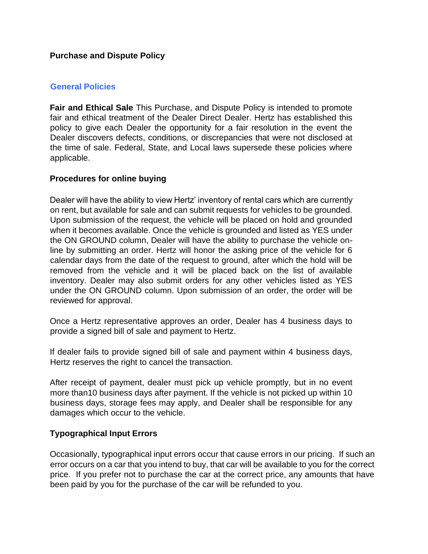#### **Purchase and Dispute Policy**

### **General Policies**

**Fair and Ethical Sale** This Purchase, and Dispute Policy is intended to promote fair and ethical treatment of the Dealer Direct Dealer. Hertz has established this policy to give each Dealer the opportunity for a fair resolution in the event the Dealer discovers defects, conditions, or discrepancies that were not disclosed at the time of sale. Federal, State, and Local laws supersede these policies where applicable.

## **Procedures for online buying**

Dealer will have the ability to view Hertz' inventory of rental cars which are currently on rent, but available for sale and can submit requests for vehicles to be grounded. Upon submission of the request, the vehicle will be placed on hold and grounded when it becomes available. Once the vehicle is grounded and listed as YES under the ON GROUND column, Dealer will have the ability to purchase the vehicle online by submitting an order. Hertz will honor the asking price of the vehicle for 6 calendar days from the date of the request to ground, after which the hold will be removed from the vehicle and it will be placed back on the list of available inventory. Dealer may also submit orders for any other vehicles listed as YES under the ON GROUND column. Upon submission of an order, the order will be reviewed for approval.

Once a Hertz representative approves an order, Dealer has 4 business days to provide a signed bill of sale and payment to Hertz.

If dealer fails to provide signed bill of sale and payment within 4 business days, Hertz reserves the right to cancel the transaction.

After receipt of payment, dealer must pick up vehicle promptly, but in no event more than10 business days after payment. If the vehicle is not picked up within 10 business days, storage fees may apply, and Dealer shall be responsible for any damages which occur to the vehicle.

#### **Typographical Input Errors**

Occasionally, typographical input errors occur that cause errors in our pricing. If such an error occurs on a car that you intend to buy, that car will be available to you for the correct price. If you prefer not to purchase the car at the correct price, any amounts that have been paid by you for the purchase of the car will be refunded to you.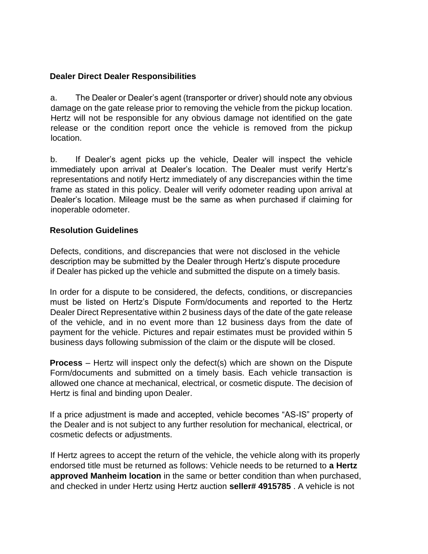## **Dealer Direct Dealer Responsibilities**

a. The Dealer or Dealer's agent (transporter or driver) should note any obvious damage on the gate release prior to removing the vehicle from the pickup location. Hertz will not be responsible for any obvious damage not identified on the gate release or the condition report once the vehicle is removed from the pickup location.

b. If Dealer's agent picks up the vehicle, Dealer will inspect the vehicle immediately upon arrival at Dealer's location. The Dealer must verify Hertz's representations and notify Hertz immediately of any discrepancies within the time frame as stated in this policy. Dealer will verify odometer reading upon arrival at Dealer's location. Mileage must be the same as when purchased if claiming for inoperable odometer.

## **Resolution Guidelines**

Defects, conditions, and discrepancies that were not disclosed in the vehicle description may be submitted by the Dealer through Hertz's dispute procedure if Dealer has picked up the vehicle and submitted the dispute on a timely basis.

In order for a dispute to be considered, the defects, conditions, or discrepancies must be listed on Hertz's Dispute Form/documents and reported to the Hertz Dealer Direct Representative within 2 business days of the date of the gate release of the vehicle, and in no event more than 12 business days from the date of payment for the vehicle. Pictures and repair estimates must be provided within 5 business days following submission of the claim or the dispute will be closed.

**Process** – Hertz will inspect only the defect(s) which are shown on the Dispute Form/documents and submitted on a timely basis. Each vehicle transaction is allowed one chance at mechanical, electrical, or cosmetic dispute. The decision of Hertz is final and binding upon Dealer.

If a price adjustment is made and accepted, vehicle becomes "AS-IS" property of the Dealer and is not subject to any further resolution for mechanical, electrical, or cosmetic defects or adjustments.

If Hertz agrees to accept the return of the vehicle, the vehicle along with its properly endorsed title must be returned as follows: Vehicle needs to be returned to **a Hertz approved Manheim location** in the same or better condition than when purchased, and checked in under Hertz using Hertz auction **seller# 4915785** . A vehicle is not